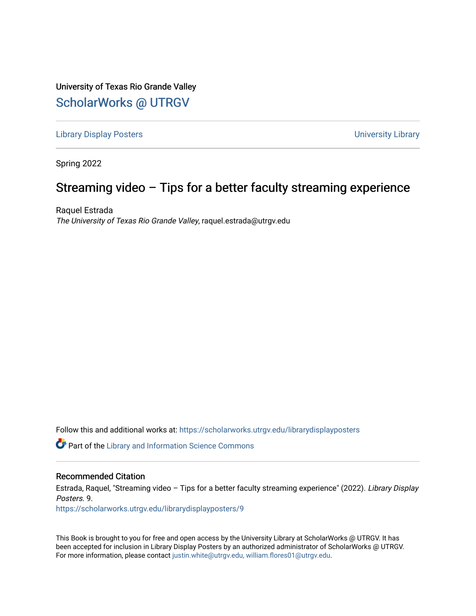University of Texas Rio Grande Valley [ScholarWorks @ UTRGV](https://scholarworks.utrgv.edu/) 

[Library Display Posters](https://scholarworks.utrgv.edu/librarydisplayposters) **Victor** Controllery Controllery Controllery University Library

Spring 2022

#### Streaming video – Tips for a better faculty streaming experience

Raquel Estrada The University of Texas Rio Grande Valley, raquel.estrada@utrgv.edu

Follow this and additional works at: [https://scholarworks.utrgv.edu/librarydisplayposters](https://scholarworks.utrgv.edu/librarydisplayposters?utm_source=scholarworks.utrgv.edu%2Flibrarydisplayposters%2F9&utm_medium=PDF&utm_campaign=PDFCoverPages) 

Part of the [Library and Information Science Commons](http://network.bepress.com/hgg/discipline/1018?utm_source=scholarworks.utrgv.edu%2Flibrarydisplayposters%2F9&utm_medium=PDF&utm_campaign=PDFCoverPages) 

#### Recommended Citation

Estrada, Raquel, "Streaming video – Tips for a better faculty streaming experience" (2022). Library Display Posters. 9.

[https://scholarworks.utrgv.edu/librarydisplayposters/9](https://scholarworks.utrgv.edu/librarydisplayposters/9?utm_source=scholarworks.utrgv.edu%2Flibrarydisplayposters%2F9&utm_medium=PDF&utm_campaign=PDFCoverPages) 

This Book is brought to you for free and open access by the University Library at ScholarWorks @ UTRGV. It has been accepted for inclusion in Library Display Posters by an authorized administrator of ScholarWorks @ UTRGV. For more information, please contact [justin.white@utrgv.edu, william.flores01@utrgv.edu](mailto:justin.white@utrgv.edu,%20william.flores01@utrgv.edu).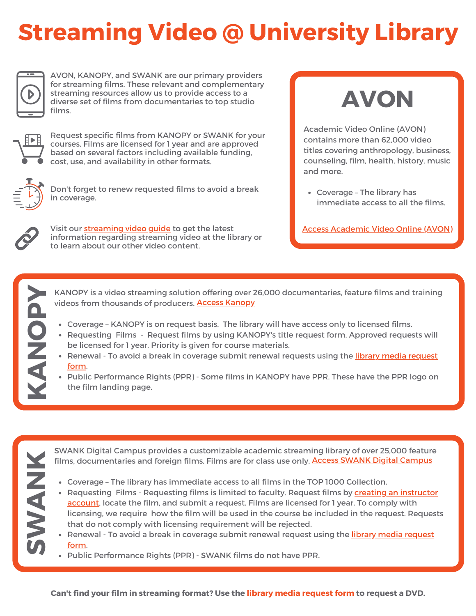## **Streaming Video @ University Library**



AVON, KANOPY, and SWANK are our primary providers for streaming films. These relevant and complementary streaming resources allow us to provide access to a diverse set of films from documentaries to top studio films.



Request specific films from KANOPY or SWANK for your courses. Films are licensed for 1 year and are approved based on several factors including available funding, cost, use, and availability in other formats.



Don't forget to renew requested films to avoid a break in coverage.



**K**

**S** 

**N**

**K**

**N**

**O**

**P**

Visit our **[streaming](https://utrgv.libguides.com/streamingvideo) video guide** to get the latest information regarding streaming video at the library or to learn about our other video content.

# **AVON**

Academic Video Online (AVON) contains more than 62,000 video titles covering anthropology, business, counseling, film, health, history, music and more.

Coverage – The library has immediate access to all the films.

Access [Academic](https://www.utrgv.edu/library/redirect/academicvideoonline.htm) Video Online (AVON)

KANOPY is a video streaming solution offering over 26,000 documentaries, feature films and training videos from thousands of producers. **Access [Kanopy](https://www.utrgv.edu/library/redirect/kanopy.htm)** 

- Coverage KANOPY is on request basis. The library will have access only to licensed films.
- Requesting Films Request films by using KANOPY's title request form. Approved requests will be licensed for 1 year. Priority is given for course materials.
- Renewal To avoid a break in [coverage](https://utrgv.co1.qualtrics.com/jfe/form/SV_d76gNjHAZ5qHK9n) submit renewal requests using the library media request form. **Public Performance Rights (PPR) - Some films in KANOPY have PPR. These have the PPR logo on** 
	- the film landing page.

SWANK Digital Campus provides a customizable academic streaming library of over 25,000 feature films, documentaries and foreign films. Films are for class use only. Access SWANK Digital [Campus](https://www.utrgv.edu/library/redirect/swank.htm)

- Coverage The library has immediate access to all films in the TOP 1000 Collection.
- **WA** [Requesting](https://swankmp.clickhelp.co/articles/#!instructor-guide/instructor-accounts) Films - Requesting films is limited to faculty. Request films by creating an instructor account, locate the film, and submit a request. Films are licensed for 1 year. To comply with licensing, we require how the film will be used in the course be included in the request. Requests that do not comply with licensing requirement will be rejected.
	- Renewal To avoid a break in [coverage](https://utrgv.co1.qualtrics.com/jfe/form/SV_d76gNjHAZ5qHK9n) submit renewal request using the library media request form.
	- Public Performance Rights (PPR) SWANK films do not have PPR.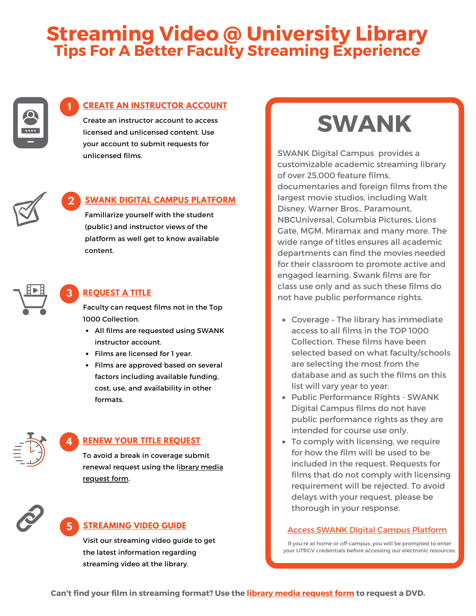## **Streaming Video @ University Library Tips For A Better Faculty Streaming Experience**



#### **1 CREATE AN [INSTRUCTOR](https://swankmp.clickhelp.co/articles/#!instructor-guide/instructor-accounts) ACCOUNT**

Create an instructor account to access licensed and unlicensed content. Use your account to submit requests for unlicensed films.



#### **2 SWANK DIGITAL CAMPUS [PLATFORM](https://www.utrgv.edu/library/redirect/swank.htm)**

Familiarize yourself with the student (public) and instructor views of the platform as well get to know available content.



#### **3 [REQUEST](https://swankmp.clickhelp.co/articles/#!instructor-guide/request-titles) A TITLE**

Faculty can request films not in the Top 1000 [Collection.](https://www.utrgv.edu/library/redirect/swank.htm)

- All films are requested using SWANK instructor account.
- Films are [licensed](https://www.utrgv.edu/library/redirect/swank.htm) for 1 year.
- Films are approved based on several factors including available funding, cost, use, and [availability](https://www.utrgv.edu/library/redirect/swank.htm) in other formats.



#### **4 RENEW YOUR TITLE [REQUEST](https://utrgv.co1.qualtrics.com/jfe/form/SV_d76gNjHAZ5qHK9n)**

To avoid a break in coverage submit [renewal](https://utrgv.co1.qualtrics.com/jfe/form/SV_d76gNjHAZ5qHK9n) request using the library media request form.



#### **5 [STREAMING](https://utrgv.libguides.com/streamingvideo/home) VIDEO GUIDE**

Visit our [streaming](https://utrgv.libguides.com/streamingvideo) video guide to get the latest information regarding streaming video at the library.



SWANK Digital Campus provides a customizable academic streaming library of over 25,000 feature films, documentaries and foreign films from the largest movie studios, including Walt Disney, Warner Bros., Paramount, NBCUniversal, Columbia Pictures, Lions Gate, MGM, Miramax and many more. The wide range of titles ensures all academic departments can find the movies needed for their classroom to promote active and engaged learning. Swank films are for class use only and as such these films do not have public performance rights.

- Coverage The library has immediate access to all films in the TOP 1000 Collection. These films have been selected based on what faculty/schools are selecting the most from the database and as such the films on this list will vary year to year.
- Public Performance Rights SWANK Digital Campus films do not have public performance rights as they are intended for course use only.
- To comply with licensing, we require for how the film will be used to be included in the request. Requests for films that do not comply with licensing requirement will be rejected. To avoid delays with your request, please be thorough in your response.

#### Access SWANK Digital Campus [Platform](https://www.utrgv.edu/library/redirect/swank.htm)

If you're at home or off-campus, you will be prompted to enter your UTRGV credentials before accessing our electronic resources.